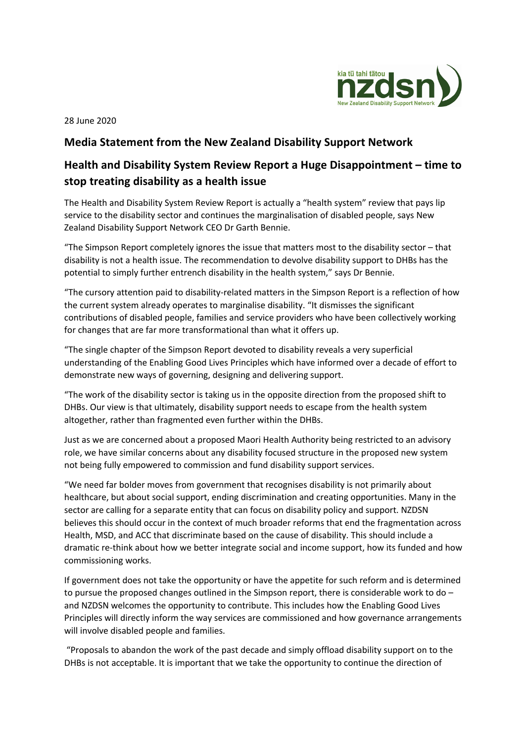

28 June 2020

## **Media Statement from the New Zealand Disability Support Network**

## **Health and Disability System Review Report a Huge Disappointment – time to stop treating disability as a health issue**

The Health and Disability System Review Report is actually a "health system" review that pays lip service to the disability sector and continues the marginalisation of disabled people, says New Zealand Disability Support Network CEO Dr Garth Bennie.

"The Simpson Report completely ignores the issue that matters most to the disability sector – that disability is not a health issue. The recommendation to devolve disability support to DHBs has the potential to simply further entrench disability in the health system," says Dr Bennie.

"The cursory attention paid to disability-related matters in the Simpson Report is a reflection of how the current system already operates to marginalise disability. "It dismisses the significant contributions of disabled people, families and service providers who have been collectively working for changes that are far more transformational than what it offers up.

"The single chapter of the Simpson Report devoted to disability reveals a very superficial understanding of the Enabling Good Lives Principles which have informed over a decade of effort to demonstrate new ways of governing, designing and delivering support.

"The work of the disability sector is taking us in the opposite direction from the proposed shift to DHBs. Our view is that ultimately, disability support needs to escape from the health system altogether, rather than fragmented even further within the DHBs.

Just as we are concerned about a proposed Maori Health Authority being restricted to an advisory role, we have similar concerns about any disability focused structure in the proposed new system not being fully empowered to commission and fund disability support services.

"We need far bolder moves from government that recognises disability is not primarily about healthcare, but about social support, ending discrimination and creating opportunities. Many in the sector are calling for a separate entity that can focus on disability policy and support. NZDSN believes this should occur in the context of much broader reforms that end the fragmentation across Health, MSD, and ACC that discriminate based on the cause of disability. This should include a dramatic re-think about how we better integrate social and income support, how its funded and how commissioning works.

If government does not take the opportunity or have the appetite for such reform and is determined to pursue the proposed changes outlined in the Simpson report, there is considerable work to do – and NZDSN welcomes the opportunity to contribute. This includes how the Enabling Good Lives Principles will directly inform the way services are commissioned and how governance arrangements will involve disabled people and families.

"Proposals to abandon the work of the past decade and simply offload disability support on to the DHBs is not acceptable. It is important that we take the opportunity to continue the direction of